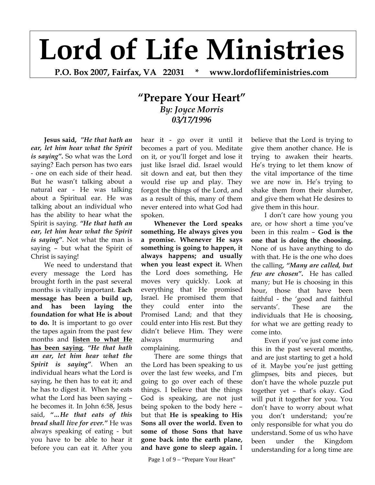## **Lord of Life Ministries**

**P.O. Box 2007, Fairfax, VA 22031 \* www.lordoflifeministries.com** 

## **"Prepare Your Heart"** *By: Joyce Morris 03/17/1996*

**Jesus said,** *"He that hath an ear, let him hear what the Spirit is saying"***.** So what was the Lord saying? Each person has two ears - one on each side of their head. But he wasn't talking about a natural ear - He was talking about a Spiritual ear. He was talking about an individual who has the ability to hear what the Spirit is saying. *"He that hath an ear, let him hear what the Spirit is saying"*. Not what the man is saying – but what the Spirit of Christ is saying!

 We need to understand that every message the Lord has brought forth in the past several months is vitally important. **Each message has been a build up, and has been laying the foundation for what He is about to do.** It is important to go over the tapes again from the past few months and **listen to what He has been saying**. *"He that hath an ear, let him hear what the Spirit is saying"*. When an individual hears what the Lord is saying, he then has to eat it; and he has to digest it. When he eats what the Lord has been saying – he becomes it. In John 6:58, Jesus said, *"…He that eats of this bread shall live for ever."* He was always speaking of eating - but you have to be able to hear it before you can eat it. After you

hear it - go over it until it becomes a part of you. Meditate on it, or you'll forget and lose it just like Israel did. Israel would sit down and eat, but then they would rise up and play. They forgot the things of the Lord, and as a result of this, many of them never entered into what God had spoken.

**Whenever the Lord speaks something, He always gives you a promise. Whenever He says something is going to happen, it always happens; and usually when you least expect it.** When the Lord does something, He moves very quickly. Look at everything that He promised Israel. He promised them that they could enter into the Promised Land; and that they could enter into His rest. But they didn't believe Him. They were always murmuring and complaining.

 There are some things that the Lord has been speaking to us over the last few weeks, and I'm going to go over each of these things. I believe that the things God is speaking, are not just being spoken to the body here – but that **He is speaking to His Sons all over the world. Even to some of those Sons that have gone back into the earth plane, and have gone to sleep again.** I

Page 1 of 9 – "Prepare Your Heart"

believe that the Lord is trying to give them another chance. He is trying to awaken their hearts. He's trying to let them know of the vital importance of the time we are now in. He's trying to shake them from their slumber, and give them what He desires to give them in this hour.

I don't care how young you are, or how short a time you've been in this realm – **God is the one that is doing the choosing.**  None of us have anything to do with that. He is the one who does the calling, *"Many are called, but few are chosen"***.** He has called many; but He is choosing in this hour, those that have been faithful - the 'good and faithful servants'. These are the individuals that He is choosing, for what we are getting ready to come into.

Even if you've just come into this in the past several months, and are just starting to get a hold of it. Maybe you're just getting glimpses, bits and pieces, but don't have the whole puzzle put together yet – that's okay. God will put it together for you. You don't have to worry about what you don't understand; you're only responsible for what you do understand. Some of us who have been under the Kingdom understanding for a long time are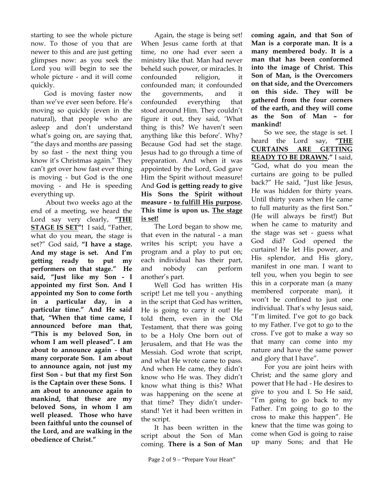starting to see the whole picture now. To those of you that are newer to this and are just getting glimpses now: as you seek the Lord you will begin to see the whole picture - and it will come quickly.

God is moving faster now than we've ever seen before. He's moving so quickly (even in the natural), that people who are asleep and don't understand what's going on, are saying that, "the days and months are passing by so fast - the next thing you know it's Christmas again." They can't get over how fast ever thing is moving - but God is the one moving - and He is speeding everything up.

 About two weeks ago at the end of a meeting, we heard the Lord say very clearly, **"THE STAGE IS SET"!** I said, "Father, what do you mean, the stage is set?" God said, **"I have a stage. And my stage is set. And I'm getting ready to put my performers on that stage." He said, "Just like my Son - I appointed my first Son. And I appointed my Son to come forth in a particular day, in a particular time." And He said that, "When that time came, I announced before man that, "This is my beloved Son, in whom I am well pleased". I am about to announce again - that many corporate Son. I am about to announce again, not just my first Son - but that my first Son is the Captain over these Sons. I am about to announce again to mankind, that these are my beloved Sons, in whom I am well pleased. Those who have been faithful unto the counsel of the Lord, and are walking in the obedience of Christ."** 

Again, the stage is being set! When Jesus came forth at that time, no one had ever seen a ministry like that. Man had never beheld such power, or miracles. It confounded religion, it confounded man; it confounded the governments, and it confounded everything that stood around Him. They couldn't figure it out, they said, 'What thing is this? We haven't seen anything like this before'. Why? Because God had set the stage. Jesus had to go through a time of preparation. And when it was appointed by the Lord, God gave Him the Spirit without measure! And **God is getting ready to give His Sons the Spirit without measure - to fulfill His purpose. This time is upon us. The stage is set!**

The Lord began to show me, that even in the natural - a man writes his script; you have a program and a play to put on; each individual has their part, and nobody can perform another's part.

Well God has written His script! Let me tell you - anything in the script that God has written, He is going to carry it out! He told them, even in the Old Testament, that there was going to be a Holy One born out of Jerusalem, and that He was the Messiah. God wrote that script, and what He wrote came to pass. And when He came, they didn't know who He was. They didn't know what thing is this? What was happening on the scene at that time? They didn't understand! Yet it had been written in the script.

It has been written in the script about the Son of Man coming. **There is a Son of Man** 

**coming again, and that Son of Man is a corporate man. It is a many membered body. It is a man that has been conformed into the image of Christ. This Son of Man, is the Overcomers on that side, and the Overcomers on this side. They will be gathered from the four corners of the earth, and they will come as the Son of Man – for mankind!** 

So we see, the stage is set. I heard the Lord say, **"THE CURTAINS ARE GETTING READY TO BE DRAWN."** I said, "God, what do you mean the curtains are going to be pulled back?" He said, "Just like Jesus, He was hidden for thirty years. Until thirty years when He came to full maturity as the first Son." (He will always be first!) But when he came to maturity and the stage was set - guess what God did? God opened the curtains! He let His power, and His splendor, and His glory, manifest in one man. I want to tell you, when you begin to see this in a corporate man (a many membered corporate man), it won't be confined to just one individual. That's why Jesus said, "I'm limited. I've got to go back to my Father. I've got to go to the cross. I've got to make a way so that many can come into my nature and have the same power and glory that I have".

For you are joint heirs with Christ; and the same glory and power that He had - He desires to give to you and I. So He said, "I'm going to go back to my Father. I'm going to go to the cross to make this happen". He knew that the time was going to come when God is going to raise up many Sons; and that He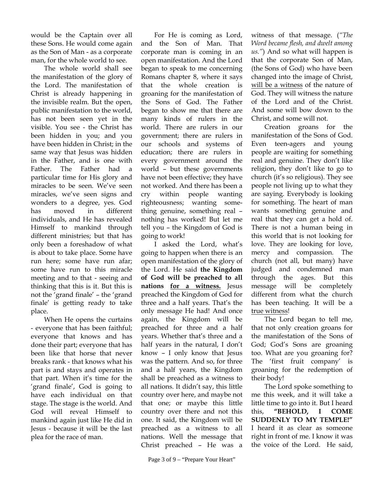would be the Captain over all these Sons. He would come again as the Son of Man - as a corporate man, for the whole world to see.

The whole world shall see the manifestation of the glory of the Lord. The manifestation of Christ is already happening in the invisible realm. But the open, public manifestation to the world, has not been seen yet in the visible. You see - the Christ has been hidden in you; and you have been hidden in Christ; in the same way that Jesus was hidden in the Father, and is one with Father. The Father had a particular time for His glory and miracles to be seen. We've seen miracles, we've seen signs and wonders to a degree, yes. God has moved in different individuals, and He has revealed Himself to mankind through different ministries; but that has only been a foreshadow of what is about to take place. Some have run here; some have run afar; some have run to this miracle meeting and to that - seeing and thinking that this is it. But this is not the 'grand finale' – the 'grand finale' is getting ready to take place.

 When He opens the curtains - everyone that has been faithful; everyone that knows and has done their part; everyone that has been like that horse that never breaks rank - that knows what his part is and stays and operates in that part. When it's time for the 'grand finale', God is going to have each individual on that stage. The stage is the world. And God will reveal Himself to mankind again just like He did in Jesus - because it will be the last plea for the race of man.

For He is coming as Lord, and the Son of Man. That corporate man is coming in an open manifestation. And the Lord began to speak to me concerning Romans chapter 8, where it says that the whole creation is groaning for the manifestation of the Sons of God. The Father began to show me that there are many kinds of rulers in the world. There are rulers in our government; there are rulers in our schools and systems of education; there are rulers in every government around the world – but these governments have not been effective; they have not worked. And there has been a cry within people wanting righteousness; wanting something genuine, something real – nothing has worked! But let me tell you – the Kingdom of God is going to work!

I asked the Lord, what's going to happen when there is an open manifestation of the glory of the Lord. He said **the Kingdom of God will be preached to all nations for a witness.** Jesus preached the Kingdom of God for three and a half years. That's the only message He had! And once again, the Kingdom will be preached for three and a half years. Whether that's three and a half years in the natural, I don't know – I only know that Jesus was the pattern. And so, for three and a half years, the Kingdom shall be preached as a witness to all nations. It didn't say, this little country over here, and maybe not that one; or maybe this little country over there and not this one. It said, the Kingdom will be preached as a witness to all nations. Well the message that Christ preached – He was a

Page 3 of 9 – "Prepare Your Heart"

witness of that message. (*"The Word became flesh, and dwelt among us."*) And so what will happen is that the corporate Son of Man, (the Sons of God) who have been changed into the image of Christ, will be a witness of the nature of God. They will witness the nature of the Lord and of the Christ. And some will bow down to the Christ, and some will not.

Creation groans for the manifestation of the Sons of God. Even teen-agers and young people are waiting for something real and genuine. They don't like religion, they don't like to go to church (it's so religious). They see people not living up to what they are saying. Everybody is looking for something. The heart of man wants something genuine and real that they can get a hold of. There is not a human being in this world that is not looking for love. They are looking for love, mercy and compassion. The church (not all, but many) have judged and condemned man through the ages. But this message will be completely different from what the church has been teaching. It will be a true witness!

The Lord began to tell me, that not only creation groans for the manifestation of the Sons of God; God's Sons are groaning too. What are you groaning for? The 'first fruit company' is groaning for the redemption of their body!

The Lord spoke something to me this week, and it will take a little time to go into it. But I heard this, **"BEHOLD, I COME SUDDENLY TO MY TEMPLE!"** I heard it as clear as someone right in front of me. I know it was the voice of the Lord. He said,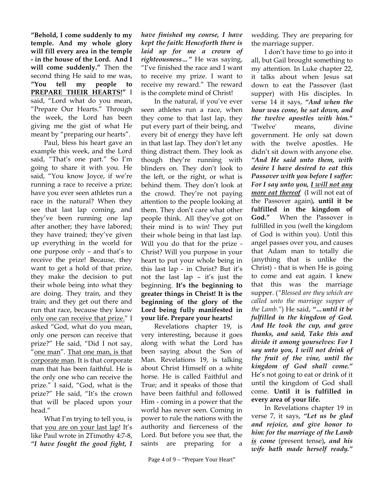**"Behold, I come suddenly to my temple. And my whole glory will fill every area in the temple - in the house of the Lord. And I will come suddenly."** Then the second thing He said to me was, **"You tell my people to PREPARE THEIR HEARTS!"** I said, "Lord what do you mean, "Prepare Our Hearts." Through the week, the Lord has been giving me the gist of what He meant by "preparing our hearts".

Paul, bless his heart gave an example this week, and the Lord said, "That's one part." So I'm going to share it with you. He said, "You know Joyce, if we're running a race to receive a prize; have you ever seen athletes run a race in the natural? When they see that last lap coming, and they've been running one lap after another; they have labored; they have trained; they've given up everything in the world for one purpose only – and that's to receive the prize! Because, they want to get a hold of that prize, they make the decision to put their whole being into what they are doing. They train, and they train; and they get out there and run that race, because they know only one can receive that prize." I asked "God, what do you mean, only one person can receive that prize?" He said, "Did I not say, "one man". That one man, is that corporate man. It is that corporate man that has been faithful. He is the only one who can receive the prize." I said, "God, what is the prize?" He said, "It's the crown that will be placed upon your head."

What I'm trying to tell you, is that you are on your last lap! It's like Paul wrote in 2Timothy 4:7-8, *"I have fought the good fight, I* 

*have finished my course, I have kept the faith: Henceforth there is laid up for me a crown of righteousness…"* He was saying, "I've finished the race and I want to receive my prize. I want to receive my reward." The reward is the complete mind of Christ!

In the natural, if you've ever seen athletes run a race, when they come to that last lap, they put every part of their being, and every bit of energy they have left in that last lap. They don't let any thing distract them. They look as though they're running with blinders on. They don't look to the left, or the right, or what is behind them. They don't look at the crowd. They're not paying attention to the people looking at them. They don't care what other people think. All they've got on their mind is to win! They put their whole being in that last lap. Will you do that for the prize - Christ? Will you purpose in your heart to put your whole being in this last lap - in Christ? But it's not the last lap – it's just the beginning. **It's the beginning to greater things in Christ! It is the beginning of the glory of the Lord being fully manifested in your life. Prepare your hearts!**

Revelations chapter 19, is very interesting, because it goes along with what the Lord has been saying about the Son of Man. Revelations 19, is talking about Christ Himself on a white horse. He is called Faithful and True; and it speaks of those that have been faithful and followed Him - coming in a power that the world has never seen. Coming in power to rule the nations with the authority and fierceness of the Lord. But before you see that, the saints are preparing for a wedding. They are preparing for the marriage supper.

I don't have time to go into it all, but Gail brought something to my attention. In Luke chapter 22, it talks about when Jesus sat down to eat the Passover (last supper) with His disciples. In verse 14 it says, *"And when the hour was come, he sat down, and the twelve apostles with him."* 'Twelve' means, divine government. He only sat down with the twelve apostles. He didn't sit down with anyone else. *"And He said unto them, with desire I have desired to eat this Passover with you before I suffer: For I say unto you, I will not any more eat thereof* (I will not eat of the Passover again)*,* **until it be fulfilled in the kingdom of God."** When the Passover is fulfilled in you (well the kingdom of God is within you). Until this angel passes over you, and causes that Adam man to totally die (anything that is unlike the Christ) - that is when He is going to come and eat again. I knew that this was the marriage supper. (*"Blessed are they which are called unto the marriage supper of the Lamb."*) He said, *"…until it be fulfilled in the kingdom of God. And He took the cup, and gave thanks, and said, Take this and divide it among yourselves: For I say unto you, I will not drink of the fruit of the vine, until the kingdom of God shall come."* He's not going to eat or drink of it until the kingdom of God shall come. **Until it is fulfilled in every area of your life.**

In Revelations chapter 19 in verse 7, it says, *"Let us be glad and rejoice, and give honor to him: for the marriage of the Lamb is come* (present tense)*, and his wife hath made herself ready."*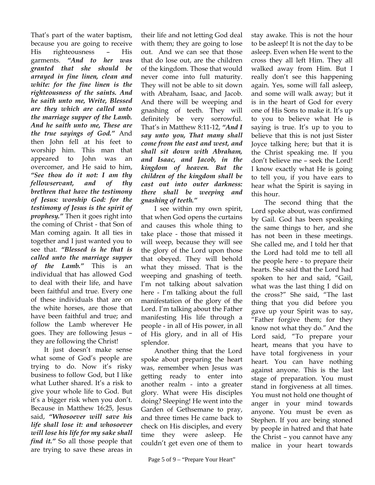That's part of the water baptism, because you are going to receive His righteousness – His garments. *"And to her was granted that she should be arrayed in fine linen, clean and white: for the fine linen is the righteousness of the saints. And he saith unto me, Write, Blessed are they which are called unto the marriage supper of the Lamb. And he saith unto me, These are the true sayings of God."* And then John fell at his feet to worship him. This man that appeared to John was an overcomer, and He said to him, *"See thou do it not: I am thy fellowservant, and of thy brethren that have the testimony of Jesus: worship God: for the testimony of Jesus is the spirit of prophesy."* Then it goes right into the coming of Christ - that Son of Man coming again. It all ties in together and I just wanted you to see that. *"Blessed is he that is called unto the marriage supper of the Lamb."* This is an individual that has allowed God to deal with their life, and have been faithful and true. Every one of these individuals that are on the white horses, are those that have been faithful and true; and follow the Lamb wherever He goes. They are following Jesus – they are following the Christ!

It just doesn't make sense what some of God's people are trying to do. Now it's risky business to follow God, but I like what Luther shared. It's a risk to give your whole life to God. But it's a bigger risk when you don't. Because in Matthew 16:25, Jesus said, *"Whosoever will save his life shall lose it: and whosoever will lose his life for my sake shall find it."* So all those people that are trying to save these areas in

their life and not letting God deal with them; they are going to lose out. And we can see that those that do lose out, are the children of the kingdom. Those that would never come into full maturity. They will not be able to sit down with Abraham, Isaac, and Jacob. And there will be weeping and gnashing of teeth. They will definitely be very sorrowful. That's in Matthew 8:11-12, *"And I say unto you, That many shall come from the east and west, and shall sit down with Abraham, and Isaac, and Jacob, in the kingdom of heaven. But the children of the kingdom shall be cast out into outer darkness: there shall be weeping and gnashing of teeth."*

I see within my own spirit, that when God opens the curtains and causes this whole thing to take place - those that missed it will weep, because they will see the glory of the Lord upon those that obeyed. They will behold what they missed. That is the weeping and gnashing of teeth. I'm not talking about salvation here - I'm talking about the full manifestation of the glory of the Lord. I'm talking about the Father manifesting His life through a people - in all of His power, in all of His glory, and in all of His splendor.

Another thing that the Lord spoke about preparing the heart was, remember when Jesus was getting ready to enter into another realm - into a greater glory. What were His disciples doing? Sleeping! He went into the Garden of Gethsemane to pray, and three times He came back to check on His disciples, and every time they were asleep. He couldn't get even one of them to

stay awake. This is not the hour to be asleep! It is not the day to be asleep. Even when He went to the cross they all left Him. They all walked away from Him. But I really don't see this happening again. Yes, some will fall asleep, and some will walk away; but it is in the heart of God for every one of His Sons to make it. It's up to you to believe what He is saying is true. It's up to you to believe that this is not just Sister Joyce talking here; but that it is the Christ speaking me. If you don't believe me – seek the Lord! I know exactly what He is going to tell you, if you have ears to hear what the Spirit is saying in this hour.

The second thing that the Lord spoke about, was confirmed by Gail. God has been speaking the same things to her, and she has not been in these meetings. She called me, and I told her that the Lord had told me to tell all the people here - to prepare their hearts. She said that the Lord had spoken to her and said, "Gail, what was the last thing I did on the cross?" She said, "The last thing that you did before you gave up your Spirit was to say, "Father forgive them; for they know not what they do." And the Lord said, "To prepare your heart, means that you have to have total forgiveness in your heart. You can have nothing against anyone. This is the last stage of preparation. You must stand in forgiveness at all times. You must not hold one thought of anger in your mind towards anyone. You must be even as Stephen. If you are being stoned by people in hatred and that hate the Christ – you cannot have any malice in your heart towards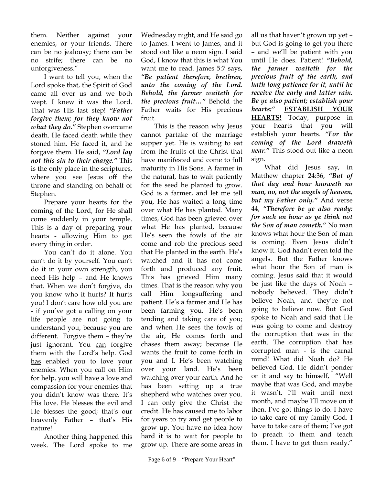them. Neither against your enemies, or your friends. There can be no jealousy; there can be no strife; there can be no unforgiveness."

I want to tell you, when the Lord spoke that, the Spirit of God came all over us and we both wept. I knew it was the Lord. That was His last step! *"Father forgive them; for they know not what they do."* Stephen overcame death. He faced death while they stoned him. He faced it, and he forgave them. He said, *"Lord lay not this sin to their charge."* This is the only place in the scriptures, where you see Jesus off the throne and standing on behalf of Stephen.

Prepare your hearts for the coming of the Lord, for He shall come suddenly in your temple. This is a day of preparing your hearts - allowing Him to get every thing in order.

You can't do it alone. You can't do it by yourself. You can't do it in your own strength, you need His help – and He knows that. When we don't forgive, do you know who it hurts? It hurts you! I don't care how old you are - if you've got a calling on your life people are not going to understand you, because you are different. Forgive them – they're just ignorant. You can forgive them with the Lord's help. God has enabled you to love your enemies. When you call on Him for help, you will have a love and compassion for your enemies that you didn't know was there. It's His love. He blesses the evil and He blesses the good; that's our heavenly Father – that's His nature!

Another thing happened this week. The Lord spoke to me

Wednesday night, and He said go to James. I went to James, and it stood out like a neon sign. I said God, I know that this is what You want me to read. James 5:7 says, *"Be patient therefore, brethren, unto the coming of the Lord. Behold, the farmer waiteth for the precious fruit…"* Behold the Father waits for His precious fruit.

This is the reason why Jesus cannot partake of the marriage supper yet. He is waiting to eat from the fruits of the Christ that have manifested and come to full maturity in His Sons. A farmer in the natural, has to wait patiently for the seed he planted to grow. God is a farmer, and let me tell you, He has waited a long time over what He has planted. Many times, God has been grieved over what He has planted, because He's seen the fowls of the air come and rob the precious seed that He planted in the earth. He's watched and it has not come forth and produced any fruit. This has grieved Him many times. That is the reason why you call Him longsuffering and patient. He's a farmer and He has been farming you. He's been tending and taking care of you; and when He sees the fowls of the air, He comes forth and chases them away; because He wants the fruit to come forth in you and I. He's been watching over your land. He's been watching over your earth. And he has been setting up a true shepherd who watches over you. I can only give the Christ the credit. He has caused me to labor for years to try and get people to grow up. You have no idea how hard it is to wait for people to grow up. There are some areas in

all us that haven't grown up yet – but God is going to get you there – and we'll be patient with you until He does. Patient! *"Behold, the farmer waiteth for the precious fruit of the earth, and hath long patience for it, until he receive the early and latter rain. Be ye also patient; establish your hearts:"* **ESTABLISH YOUR HEARTS!** Today, purpose in your hearts that you will establish your hearts. *"For the coming of the Lord draweth near."* This stood out like a neon sign.

What did Jesus say, in Matthew chapter 24:36, *"But of that day and hour knoweth no man, no, not the angels of heaven, but my Father only."* And verse 44, *"Therefore be ye also ready: for such an hour as ye think not the Son of man cometh."* No man knows what hour the Son of man is coming. Even Jesus didn't know it. God hadn't even told the angels. But the Father knows what hour the Son of man is coming. Jesus said that it would be just like the days of Noah – nobody believed. They didn't believe Noah, and they're not going to believe now. But God spoke to Noah and said that He was going to come and destroy the corruption that was in the earth. The corruption that has corrupted man - is the carnal mind! What did Noah do? He believed God. He didn't ponder on it and say to himself, "Well maybe that was God, and maybe it wasn't. I'll wait until next month, and maybe I'll move on it then. I've got things to do. I have to take care of my family God. I have to take care of them; I've got to preach to them and teach them. I have to get them ready."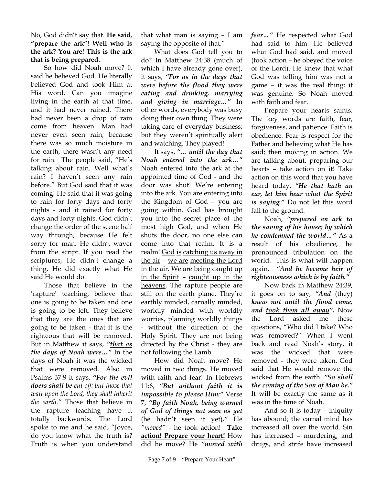No, God didn't say that. **He said, "prepare the ark"! Well who is the ark? You are! This is the ark that is being prepared.** 

So how did Noah move? It said he believed God. He literally believed God and took Him at His word. Can you imagine living in the earth at that time, and it had never rained. There had never been a drop of rain come from heaven. Man had never even seen rain, because there was so much moisture in the earth, there wasn't any need for rain. The people said, "He's talking about rain. Well what's rain? I haven't seen any rain before." But God said that it was coming! He said that it was going to rain for forty days and forty nights - and it rained for forty days and forty nights. God didn't change the order of the scene half way through, because He felt sorry for man. He didn't waver from the script. If you read the scriptures, He didn't change a thing. He did exactly what He said He would do.

Those that believe in the 'rapture' teaching, believe that one is going to be taken and one is going to be left. They believe that they are the ones that are going to be taken - that it is the righteous that will be removed. But in Matthew it says, *"that as the days of Noah were…"* In the days of Noah it was the wicked that were removed. Also in Psalms 37:9 it says, *"For the evil doers shall be cut off: but those that wait upon the Lord, they shall inherit the earth."* Those that believe in the rapture teaching have it totally backwards. The Lord spoke to me and he said, "Joyce, do you know what the truth is? Truth is when you understand

that what man is saying – I am saying the opposite of that."

What does God tell you to do? In Matthew 24:38 (much of which I have already gone over), it says, *"For as in the days that were before the flood they were eating and drinking, marrying and giving in marriage…"* In other words, everybody was busy doing their own thing. They were taking care of everyday business; but they weren't spiritually alert and watching. They played!

It says, *"… until the day that Noah entered into the ark…"* Noah entered into the ark at the appointed time of God - and the door was shut! We're entering into the ark. You are entering into the Kingdom of God – you are going within. God has brought you into the secret place of the most high God, and when He shuts the door, no one else can come into that realm. It is a realm! God is catching us away in the air – we are meeting the Lord in the air. We are being caught up in the Spirit – caught up in the heavens. The rapture people are still on the earth plane. They're earthly minded, carnally minded, worldly minded with worldly worries, planning worldly things - without the direction of the Holy Spirit. They are not being directed by the Christ - they are not following the Lamb.

How did Noah move? He moved in two things. He moved with faith and fear! In Hebrews 11:6, *"But without faith it is impossible to please Him:"* Verse 7, *"By faith Noah, being warned of God of things not seen as yet* (he hadn't seen it yet)*,"* He *"moved"* - he took action! **Take action! Prepare your heart!** How did he move? He *"moved with* 

Page 7 of 9 – "Prepare Your Heart"

*fear…"* He respected what God had said to him. He believed what God had said, and moved (took action – he obeyed the voice of the Lord). He knew that what God was telling him was not a game – it was the real thing; it was genuine. So Noah moved with faith and fear.

Prepare your hearts saints. The key words are faith, fear, forgiveness, and patience. Faith is obedience. Fear is respect for the Father and believing what He has said; then moving in action. We are talking about, preparing our hearts – take action on it! Take action on this word that you have heard today. *"He that hath an ear, let him hear what the Spirit is saying."* Do not let this word fall to the ground.

Noah, *"prepared an ark to the saving of his house; by which he condemned the world…"* As a result of his obedience, he pronounced tribulation on the world. This is what will happen again. *"And he became heir of righteousness which is by faith."*

Now back in Matthew 24:39, it goes on to say, *"And* (they) *knew not until the flood came, and took them all away".* Now the Lord asked me these questions, "Who did I take? Who was removed?" When I went back and read Noah's story, it was the wicked that were removed – they were taken. God said that He would remove the wicked from the earth. *"So shall the coming of the Son of Man be."* It will be exactly the same as it was in the time of Noah.

And so it is today – iniquity has abound; the carnal mind has increased all over the world. Sin has increased – murdering, and drugs, and strife have increased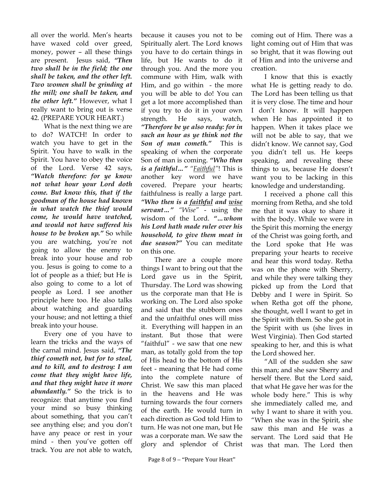all over the world. Men's hearts have waxed cold over greed, money, power – all these things are present. Jesus said, *"Then two shall be in the field; the one shall be taken, and the other left. Two women shall be grinding at the mill; one shall be taken, and the other left."* However, what I really want to bring out is verse 42. (PREPARE YOUR HEART.)

What is the next thing we are to do? WATCH! In order to watch you have to get in the Spirit. You have to walk in the Spirit. You have to obey the voice of the Lord. Verse 42 says, *"Watch therefore: for ye know not what hour your Lord doth come. But know this, that if the goodman of the house had known in what watch the thief would come, he would have watched, and would not have suffered his house to be broken up."* So while you are watching, you're not going to allow the enemy to break into your house and rob you. Jesus is going to come to a lot of people as a thief; but He is also going to come to a lot of people as Lord. I see another principle here too. He also talks about watching and guarding your house; and not letting a thief break into your house.

Every one of you have to learn the tricks and the ways of the carnal mind. Jesus said, *"The thief cometh not, but for to steal, and to kill, and to destroy: I am come that they might have life, and that they might have it more abundantly."* So the trick is to recognize: that anytime you find your mind so busy thinking about something, that you can't see anything else; and you don't have any peace or rest in your mind - then you've gotten off track. You are not able to watch,

because it causes you not to be Spiritually alert. The Lord knows you have to do certain things in life, but He wants to do it through you. And the more you commune with Him, walk with Him, and go within - the more you will be able to do! You can get a lot more accomplished than if you try to do it in your own strength. He says, watch, *"Therefore be ye also ready: for in such an hour as ye think not the Son of man cometh."* This is speaking of when the corporate Son of man is coming. *"Who then is a faithful…" "Faithful"*! This is another key word we have covered. Prepare your hearts; faithfulness is really a large part. *"Who then is a faithful and wise servant…" "Wise"* - using the wisdom of the Lord. *"…whom his Lord hath made ruler over his household, to give them meat in due season?"* You can meditate on this one.

There are a couple more things I want to bring out that the Lord gave us in the Spirit, Thursday. The Lord was showing us the corporate man that He is working on. The Lord also spoke and said that the stubborn ones and the unfaithful ones will miss it. Everything will happen in an instant. But those that were "faithful" - we saw that one new man, as totally gold from the top of His head to the bottom of His feet - meaning that He had come into the complete nature of Christ. We saw this man placed in the heavens and He was turning towards the four corners of the earth. He would turn in each direction as God told Him to turn. He was not one man, but He was a corporate man. We saw the glory and splendor of Christ

coming out of Him. There was a light coming out of Him that was so bright, that it was flowing out of Him and into the universe and creation.

I know that this is exactly what He is getting ready to do. The Lord has been telling us that it is very close. The time and hour I don't know. It will happen when He has appointed it to happen. When it takes place we will not be able to say, that we didn't know. We cannot say, God you didn't tell us. He keeps speaking, and revealing these things to us, because He doesn't want you to be lacking in this knowledge and understanding.

I received a phone call this morning from Retha, and she told me that it was okay to share it with the body. While we were in the Spirit this morning the energy of the Christ was going forth, and the Lord spoke that He was preparing your hearts to receive and hear this word today. Retha was on the phone with Sherry, and while they were talking they picked up from the Lord that Debby and I were in Spirit. So when Retha got off the phone, she thought, well I want to get in the Spirit with them. So she got in the Spirit with us (she lives in West Virginia). Then God started speaking to her, and this is what the Lord showed her.

"All of the sudden she saw this man; and she saw Sherry and herself there. But the Lord said, that what He gave her was for the whole body here." This is why she immediately called me, and why I want to share it with you. "When she was in the Spirit, she saw this man and He was a servant. The Lord said that He was that man. The Lord then